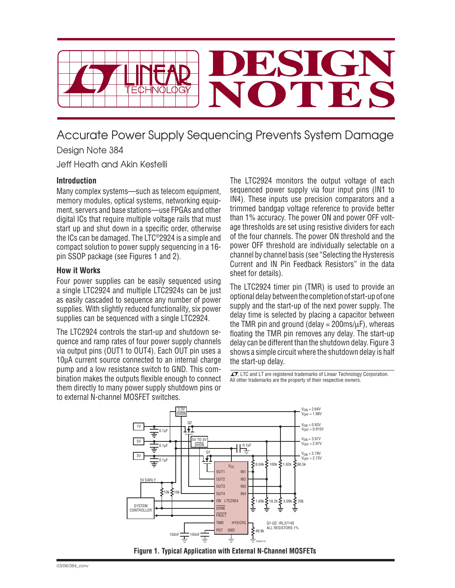

# Accurate Power Supply Sequencing Prevents System Damage

Design Note 384

Jeff Heath and Akin Kestelli

## **Introduction**

Many complex systems—such as telecom equipment, memory modules, optical systems, networking equipment, servers and base stations—use FPGAs and other digital ICs that require multiple voltage rails that must start up and shut down in a specific order, otherwise the ICs can be damaged. The LTC®2924 is a simple and compact solution to power supply sequencing in a 16 pin SSOP package (see Figures 1 and 2).

### **How it Works**

Four power supplies can be easily sequenced using a single LTC2924 and multiple LTC2924s can be just as easily cascaded to sequence any number of power supplies. With slightly reduced functionality, six power supplies can be sequenced with a single LTC2924.

The LTC2924 controls the start-up and shutdown sequence and ramp rates of four power supply channels via output pins (OUT1 to OUT4). Each OUT pin uses a 10µA current source connected to an internal charge pump and a low resistance switch to GND. This combination makes the outputs flexible enough to connect them directly to many power supply shutdown pins or to external N-channel MOSFET switches.

The LTC2924 monitors the output voltage of each sequenced power supply via four input pins (IN1 to IN4). These inputs use precision comparators and a trimmed bandgap voltage reference to provide better than 1% accuracy. The power ON and power OFF voltage thresholds are set using resistive dividers for each of the four channels. The power ON threshold and the power OFF threshold are individually selectable on a channel by channel basis (see "Selecting the Hysteresis Current and IN Pin Feedback Resistors" in the data sheet for details).

The LTC2924 timer pin (TMR) is used to provide an optional delay between the completion of start-up of one supply and the start-up of the next power supply. The delay time is selected by placing a capacitor between the TMR pin and ground (delay =  $200 \text{ms/m}$ ), whereas floating the TMR pin removes any delay. The start-up delay can be different than the shutdown delay. Figure 3 shows a simple circuit where the shutdown delay is half the start-up delay.

 $\sqrt{J}$ , LTC and LT are registered trademarks of Linear Technology Corporation. All other trademarks are the property of their respective owners.